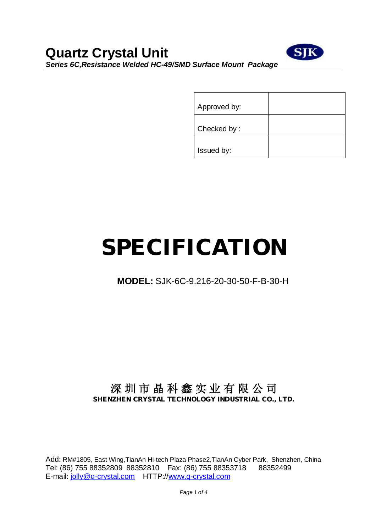

| Approved by: |  |
|--------------|--|
| Checked by:  |  |
| Issued by:   |  |

# **SPECIFICATION**

## **MODEL:** SJK-6C-9.216-20-30-50-F-B-30-H

## **深 圳 市 晶 科 鑫 实 业 有 限 公 司 SHENZHEN CRYSTAL TECHNOLOGY INDUSTRIAL CO., LTD.**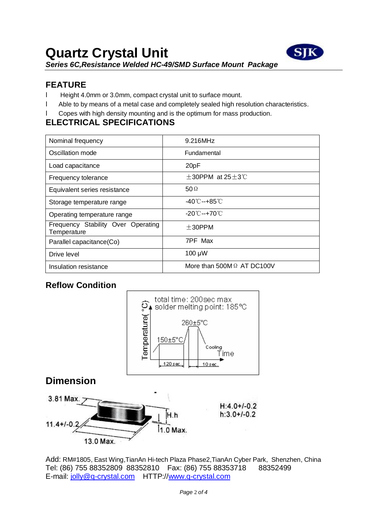

#### **FEATURE**

- l Height 4.0mm or 3.0mm, compact crystal unit to surface mount.
- l Able to by means of a metal case and completely sealed high resolution characteristics.
- l Copes with high density mounting and is the optimum for mass production.

#### **ELECTRICAL SPECIFICATIONS**

| Nominal frequency                                 | 9.216MHz                          |
|---------------------------------------------------|-----------------------------------|
| Oscillation mode                                  | <b>Fundamental</b>                |
| Load capacitance                                  | 20pF                              |
| Frequency tolerance                               | $\pm$ 30PPM at 25 $\pm$ 3°C       |
| Equivalent series resistance                      | 50 $\Omega$                       |
| Storage temperature range                         | -40℃--+85℃                        |
| Operating temperature range                       | -20℃--+70℃                        |
| Frequency Stability Over Operating<br>Temperature | $+30$ PPM                         |
| Parallel capacitance(Co)                          | 7PF Max                           |
| Drive level                                       | $100 \mu W$                       |
| Insulation resistance                             | More than 500M $\Omega$ AT DC100V |

#### **Reflow Condition**



## **Dimension**

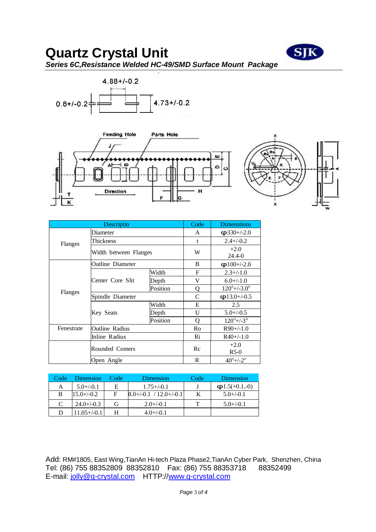

# **Quartz Crystal Unit**  *Series 6C,Resistance Welded HC-49/SMD Surface Mount Package*





|            | Descriptio              | Code         | <b>Dimenstions</b>           |                                 |  |  |  |
|------------|-------------------------|--------------|------------------------------|---------------------------------|--|--|--|
|            | Diameter                |              | A                            | $\phi$ 330+/-2.0                |  |  |  |
| Flanges    | Thickness               |              | t                            | $2.4 + (-0.2)$                  |  |  |  |
|            | Width between Flanges   |              | W                            | $+2.0$<br>24.4-0                |  |  |  |
|            | <b>Outline Diameter</b> |              | B                            | $\phi$ 100+/-2.0                |  |  |  |
|            |                         | Width        | F                            | $2.3 + (-1.0)$                  |  |  |  |
|            | Center Core Slit        | Depth        | V                            | $6.0 + (-1.0)$                  |  |  |  |
| Flanges    |                         | Position     | O                            | $120^{\circ}$ +/-3.0 $^{\circ}$ |  |  |  |
|            | Spindle Diameter        |              | C                            | $\phi$ 13.0+/-0.5               |  |  |  |
|            |                         | Width        | Е                            | 2.5                             |  |  |  |
|            | Key Seats               | Depth        | U                            | $5.0 + (-0.5)$                  |  |  |  |
|            |                         | Position     | Q                            | $120^{\circ}$ +/-3 <sup>o</sup> |  |  |  |
| Fenestrate | <b>Outline Radius</b>   | Ro           | $R90+/1.0$                   |                                 |  |  |  |
|            | Inline Radius           |              | Ri                           | $R40+/-1.0$                     |  |  |  |
|            | Rounded Comers          |              | Re                           | $+2.0$<br>$R$ 5-0               |  |  |  |
|            | Open Angle              | $\mathbb{R}$ | $40^{\circ}$ +/-2 $^{\circ}$ |                                 |  |  |  |

| Code | Dimension        | Code | Dimension                |  | <b>Dimension</b>       |
|------|------------------|------|--------------------------|--|------------------------|
| А    | $5.0+/-0.1$      | E    | $1.75 + (-0.1)$          |  | $\varphi$ 1.5(+0.1,-0) |
| B    | $15.0 + (-0.2)$  | F    | $8.0+/-0.1$ / 12.0+/-0.1 |  | $5.0+/-0.1$            |
| C    | $24.0 + (-0.3)$  | G    | $2.0 + (-0.1)$           |  | $5.0+/-0.1$            |
| D    | $11.05 + (-0.1)$ |      | $4.0 + (-0.1)$           |  |                        |